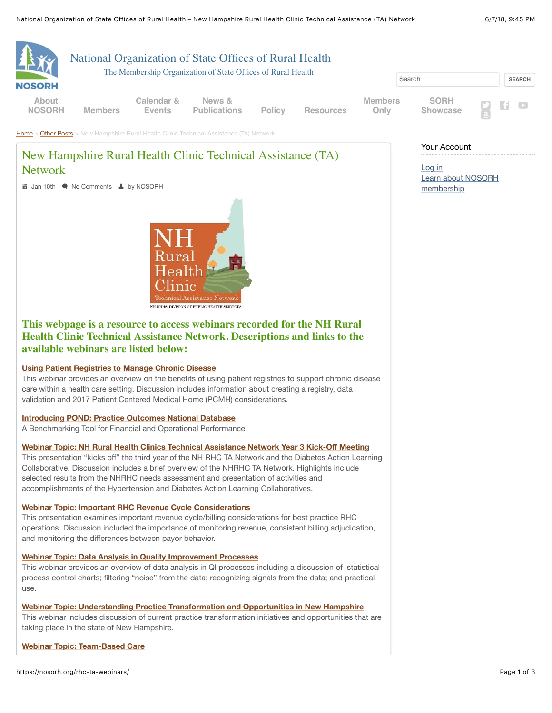

This webinar provides an overview of data analysis in QI processes including a discussion of statistical process control charts; filtering "noise" from the data; recognizing signals from the data; and practical use.

**[Webinar Topic: Understanding Practice Transformation and Opportunities in New Hampshire](https://nosorh.org/understanding-practice-transformation-and-opportunities-in-new-hampshire/)**

This webinar includes discussion of current practice transformation initiatives and opportunities that are taking place in the state of New Hampshire.

**[Webinar Topic: Team-Based Care](https://nosorh.org/team-based-care/)**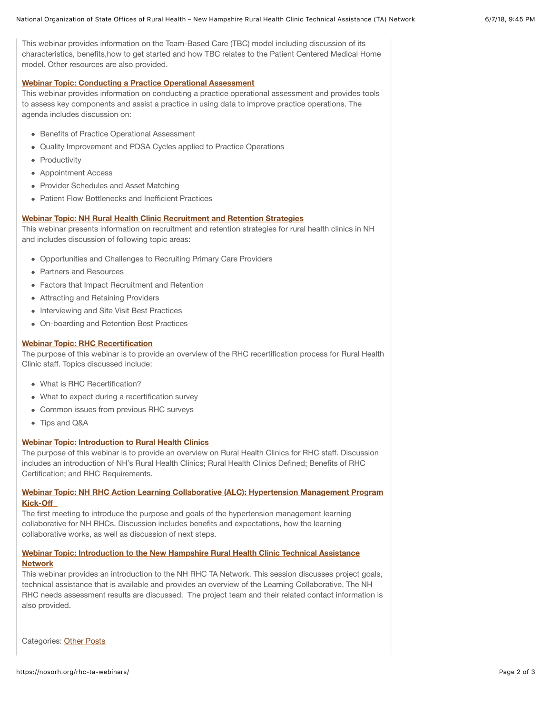This webinar provides information on the Team-Based Care (TBC) model including discussion of its characteristics, benefits,how to get started and how TBC relates to the Patient Centered Medical Home model. Other resources are also provided.

## **[Webinar Topic: Conducting a Practice Operational Assessment](https://nosorh.org/conducting-a-practice-operational-assessment/)**

This webinar provides information on conducting a practice operational assessment and provides tools to assess key components and assist a practice in using data to improve practice operations. The agenda includes discussion on:

- Benefits of Practice Operational Assessment
- Quality Improvement and PDSA Cycles applied to Practice Operations
- Productivity
- Appointment Access
- Provider Schedules and Asset Matching
- Patient Flow Bottlenecks and Inefficient Practices

## **[Webinar Topic: NH Rural Health Clinic Recruitment and Retention Strategies](https://nosorh.org/nh-rural-health-clinic-recruitment-and-retention-strategies/)**

This webinar presents information on recruitment and retention strategies for rural health clinics in NH and includes discussion of following topic areas:

- Opportunities and Challenges to Recruiting Primary Care Providers
- Partners and Resources
- Factors that Impact Recruitment and Retention
- Attracting and Retaining Providers
- Interviewing and Site Visit Best Practices
- On-boarding and Retention Best Practices

## **[Webinar Topic: RHC Recertification](https://nosorh.org/rhc-recertification/)**

The purpose of this webinar is to provide an overview of the RHC recertification process for Rural Health Clinic staff. Topics discussed include:

- What is RHC Recertification?
- What to expect during a recertification survey
- Common issues from previous RHC surveys
- Tips and Q&A

#### **[Webinar Topic: Introduction to Rural Health Clinics](https://nosorh.org/introduction-to-rural-health-clinics/)**

The purpose of this webinar is to provide an overview on Rural Health Clinics for RHC staff. Discussion includes an introduction of NH's Rural Health Clinics; Rural Health Clinics Defined; Benefits of RHC Certification; and RHC Requirements.

# **[Webinar Topic: NH RHC Action Learning Collaborative \(ALC\): Hypertension Management Program](https://nosorh.org/nh-rhc-action-learning-collaborative-alc-hypertension-management-program-kick-off/) Kick-Off**

The first meeting to introduce the purpose and goals of the hypertension management learning collaborative for NH RHCs. Discussion includes benefits and expectations, how the learning collaborative works, as well as discussion of next steps.

## **[Webinar Topic: Introduction to the New Hampshire Rural Health Clinic Technical Assistance](https://nosorh.org/introduction-to-the-new-hampshire-rural-health-clinic-technical-assistance-network-nh-rhc-ta-network/) Network**

This webinar provides an introduction to the NH RHC TA Network. This session discusses project goals, technical assistance that is available and provides an overview of the Learning Collaborative. The NH RHC needs assessment results are discussed. The project team and their related contact information is also provided.

Categories: [Other Posts](https://nosorh.org/category/other/)